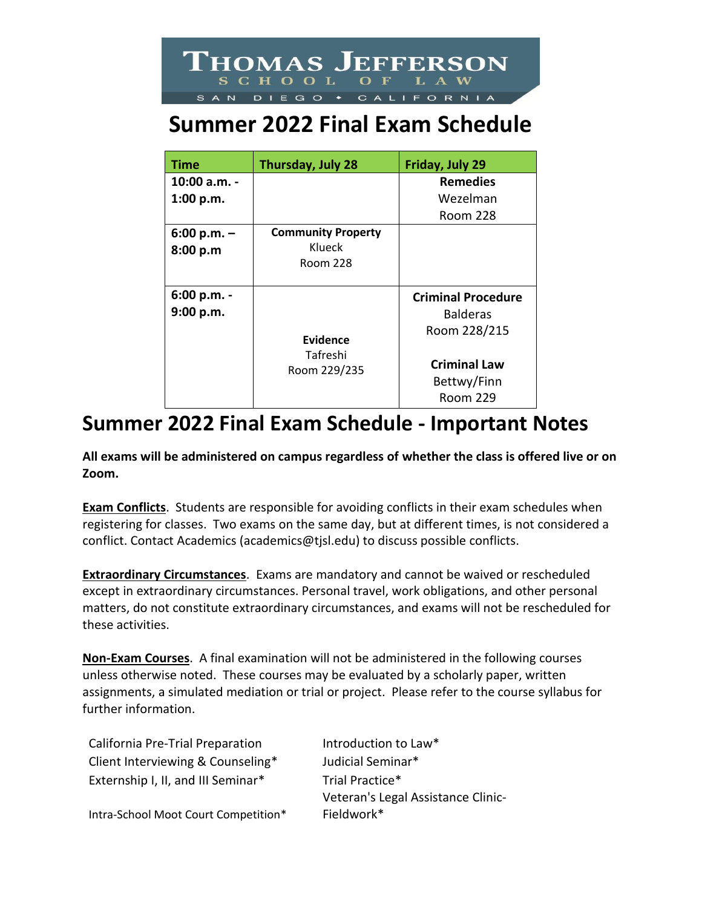

## **Summer 2022 Final Exam Schedule**

| Time          | Thursday, July 28         | Friday, July 29           |
|---------------|---------------------------|---------------------------|
| 10:00 a.m. -  |                           | <b>Remedies</b>           |
| 1:00 p.m.     |                           | Wezelman                  |
|               |                           | Room 228                  |
| $6:00 p.m. -$ | <b>Community Property</b> |                           |
| 8:00 p.m      | Klueck                    |                           |
|               | Room 228                  |                           |
|               |                           |                           |
| $6:00 p.m. -$ |                           | <b>Criminal Procedure</b> |
| 9:00 p.m.     |                           | <b>Balderas</b>           |
|               |                           | Room 228/215              |
|               | Evidence                  |                           |
|               | Tafreshi<br>Room 229/235  | <b>Criminal Law</b>       |
|               |                           | Bettwy/Finn               |
|               |                           | Room 229                  |

## **Summer 2022 Final Exam Schedule - Important Notes**

**All exams will be administered on campus regardless of whether the class is offered live or on Zoom.** 

**Exam Conflicts**. Students are responsible for avoiding conflicts in their exam schedules when registering for classes. Two exams on the same day, but at different times, is not considered a conflict. Contact Academics (academics@tjsl.edu) to discuss possible conflicts.

**Extraordinary Circumstances**. Exams are mandatory and cannot be waived or rescheduled except in extraordinary circumstances. Personal travel, work obligations, and other personal matters, do not constitute extraordinary circumstances, and exams will not be rescheduled for these activities.

**Non-Exam Courses**. A final examination will not be administered in the following courses unless otherwise noted. These courses may be evaluated by a scholarly paper, written assignments, a simulated mediation or trial or project. Please refer to the course syllabus for further information.

| Veteran's Legal Assistance Clinic- |
|------------------------------------|
|                                    |
|                                    |